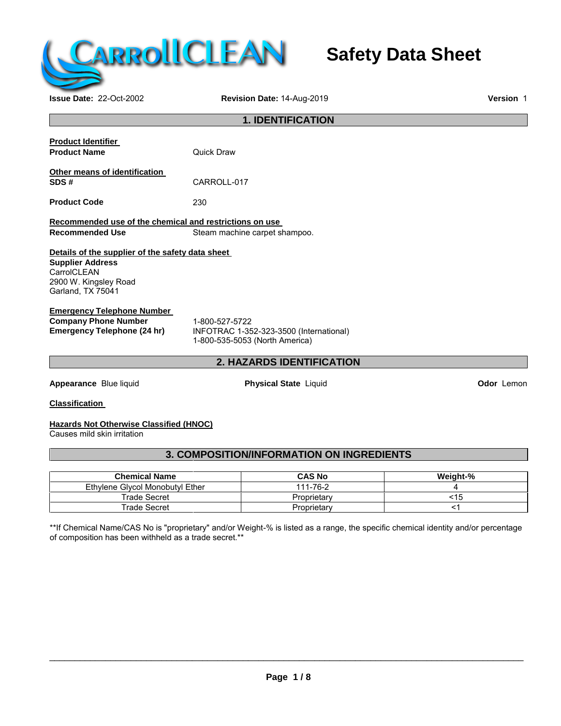

# **Safety Data Sheet**

**Issue Date:** 22-Oct-2002 **Revision Date:** 14-Aug-2019 **Version** 1

| <b>1. IDENTIFICATION</b>                                       |                                                                           |                   |  |  |  |
|----------------------------------------------------------------|---------------------------------------------------------------------------|-------------------|--|--|--|
|                                                                |                                                                           |                   |  |  |  |
| <b>Product Identifier</b><br>Quick Draw<br><b>Product Name</b> |                                                                           |                   |  |  |  |
| Other means of identification                                  |                                                                           |                   |  |  |  |
| SDS#                                                           | CARROLL-017                                                               |                   |  |  |  |
| <b>Product Code</b>                                            | 230                                                                       |                   |  |  |  |
| Recommended use of the chemical and restrictions on use        |                                                                           |                   |  |  |  |
| <b>Recommended Use</b>                                         | Steam machine carpet shampoo.                                             |                   |  |  |  |
| Details of the supplier of the safety data sheet               |                                                                           |                   |  |  |  |
| <b>Supplier Address</b><br>CarrolCLEAN                         |                                                                           |                   |  |  |  |
| 2900 W. Kingsley Road<br>Garland, TX 75041                     |                                                                           |                   |  |  |  |
| <b>Emergency Telephone Number</b>                              |                                                                           |                   |  |  |  |
| <b>Company Phone Number</b>                                    | 1-800-527-5722                                                            |                   |  |  |  |
| <b>Emergency Telephone (24 hr)</b>                             | INFOTRAC 1-352-323-3500 (International)<br>1-800-535-5053 (North America) |                   |  |  |  |
|                                                                | 2. HAZARDS IDENTIFICATION                                                 |                   |  |  |  |
| Appearance Blue liquid                                         | <b>Physical State Liquid</b>                                              | <b>Odor</b> Lemon |  |  |  |
| <b>Classification</b>                                          |                                                                           |                   |  |  |  |
| Hererde Net Otherwise Cleasified (HNOC)                        |                                                                           |                   |  |  |  |

#### **Hazards Not Otherwise Classified (HNOC)**

Causes mild skin irritation

# **3. COMPOSITION/INFORMATION ON INGREDIENTS**

| <b>Chemical Name</b>            | <b>CAS No</b> | Weight-% |
|---------------------------------|---------------|----------|
| Ethylene Glycol Monobutyl Ether | 111-76-2      |          |
| Trade Secret                    | Proprietary   | <15      |
| Trade Secret                    | Proprietary   |          |

\*\*If Chemical Name/CAS No is "proprietary" and/or Weight-% is listed as a range, the specific chemical identity and/or percentage of composition has been withheld as a trade secret.\*\*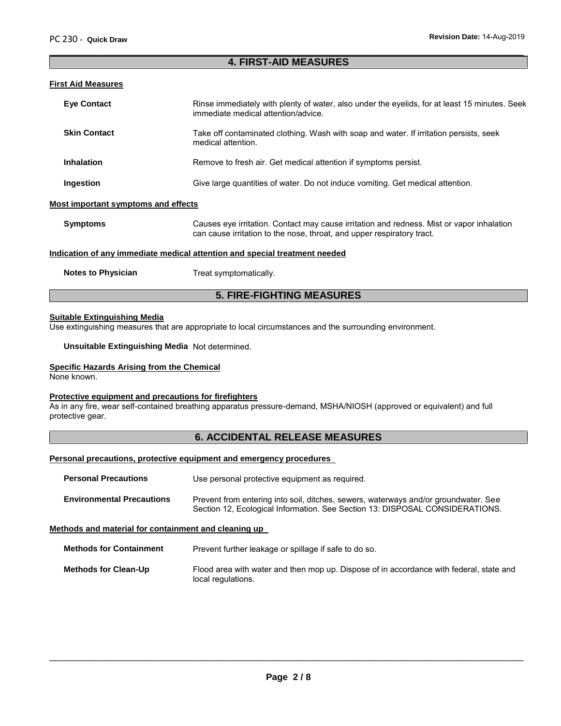#### **4. FIRST-AID MEASURES**

 $\overline{\phantom{a}}$  , and the contribution of the contribution of the contribution of the contribution of the contribution of the contribution of the contribution of the contribution of the contribution of the contribution of the

#### **First Aid Measures**

| <b>Eve Contact</b>                  | Rinse immediately with plenty of water, also under the eyelids, for at least 15 minutes. Seek<br>immediate medical attention/advice.                                |
|-------------------------------------|---------------------------------------------------------------------------------------------------------------------------------------------------------------------|
| <b>Skin Contact</b>                 | Take off contaminated clothing. Wash with soap and water. If irritation persists, seek<br>medical attention.                                                        |
| <b>Inhalation</b>                   | Remove to fresh air. Get medical attention if symptoms persist.                                                                                                     |
| Ingestion                           | Give large quantities of water. Do not induce vomiting. Get medical attention.                                                                                      |
| Most important symptoms and effects |                                                                                                                                                                     |
| <b>Symptoms</b>                     | Causes eye irritation. Contact may cause irritation and redness. Mist or vapor inhalation<br>can cause irritation to the nose, throat, and upper respiratory tract. |
|                                     | Indication of any immediate medical attention and special treatment needed                                                                                          |
|                                     |                                                                                                                                                                     |

**Notes to Physician** Treat symptomatically.

### **5. FIRE-FIGHTING MEASURES**

#### **Suitable Extinguishing Media**

Use extinguishing measures that are appropriate to local circumstances and the surrounding environment.

**Unsuitable Extinguishing Media** Not determined.

#### **Specific Hazards Arising from the Chemical**

None known.

#### **Protective equipment and precautions for firefighters**

As in any fire, wear self-contained breathing apparatus pressure-demand, MSHA/NIOSH (approved or equivalent) and full protective gear.

#### **6. ACCIDENTAL RELEASE MEASURES**

#### **Personal precautions, protective equipment and emergency procedures**

| <b>Environmental Precautions</b> | Prevent from entering into soil, ditches, sewers, waterways and/or groundwater. See |
|----------------------------------|-------------------------------------------------------------------------------------|
|                                  | Section 12, Ecological Information. See Section 13: DISPOSAL CONSIDERATIONS.        |

**Methods and material for containment and cleaning up**

**Methods for Containment** Prevent further leakage or spillage if safe to do so.

**Methods for Clean-Up** Flood area with water and then mop up. Dispose of in accordance with federal, state and local regulations.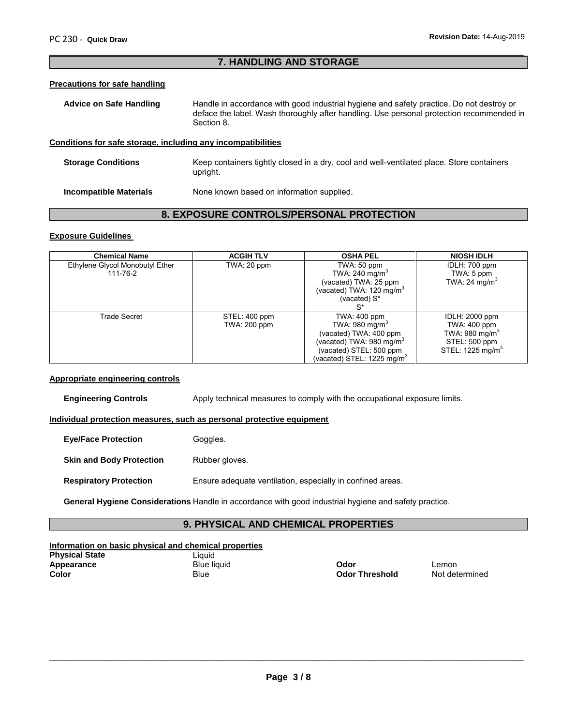# **7. HANDLING AND STORAGE**

 $\overline{\phantom{a}}$  , and the contribution of the contribution of the contribution of the contribution of the contribution of the contribution of the contribution of the contribution of the contribution of the contribution of the

#### **Precautions for safe handling**

| <b>Advice on Safe Handling</b> | Handle in accordance with good industrial hygiene and safety practice. Do not destroy or               |  |  |  |
|--------------------------------|--------------------------------------------------------------------------------------------------------|--|--|--|
|                                | deface the label. Wash thoroughly after handling. Use personal protection recommended in<br>Section 8. |  |  |  |
|                                |                                                                                                        |  |  |  |

### **Conditions for safe storage, including any incompatibilities**

**Storage Conditions** Keep containers tightly closed in a dry, cool and well-ventilated place. Store containers upright.

**Incompatible Materials** None known based on information supplied.

# **8. EXPOSURE CONTROLS/PERSONAL PROTECTION**

### **Exposure Guidelines**

| <b>Chemical Name</b>                        | <b>ACGIH TLV</b>              | <b>OSHA PEL</b>                                                                                                                                                          | <b>NIOSH IDLH</b>                                                                                             |
|---------------------------------------------|-------------------------------|--------------------------------------------------------------------------------------------------------------------------------------------------------------------------|---------------------------------------------------------------------------------------------------------------|
| Ethylene Glycol Monobutyl Ether<br>111-76-2 | TWA: 20 ppm                   | TWA: 50 ppm<br>TWA: 240 mg/m <sup>3</sup><br>(vacated) TWA: 25 ppm<br>(vacated) TWA: 120 mg/m <sup>3</sup><br>(vacated) $S^*$                                            | IDLH: 700 ppm<br>TWA: 5 ppm<br>TWA: 24 mg/m <sup>3</sup>                                                      |
| Trade Secret                                | STEL: 400 ppm<br>TWA: 200 ppm | TWA: 400 ppm<br>TWA: $980 \text{ mg/m}^3$<br>(vacated) TWA: 400 ppm<br>(vacated) TWA: 980 mg/m <sup>3</sup><br>(vacated) STEL: 500 ppm<br>(vacated) STEL: 1225 mg/m $^3$ | IDLH: 2000 ppm<br>TWA: 400 ppm<br>TWA: 980 mg/m <sup>3</sup><br>STEL: 500 ppm<br>STEL: 1225 mg/m <sup>3</sup> |

#### **Appropriate engineering controls**

**Engineering Controls** Apply technical measures to comply with the occupational exposure limits.

**Individual protection measures, such as personal protective equipment**

**Eye/Face Protection** Goggles.

**Skin and Body Protection** Rubber gloves.

**Respiratory Protection** Ensure adequate ventilation, especially in confined areas.

**General Hygiene Considerations** Handle in accordance with good industrial hygiene and safety practice.

# **9. PHYSICAL AND CHEMICAL PROPERTIES**

# **Information on basic physical and chemical properties**

| <b>Physical State</b> | Liquid             |                       |                |
|-----------------------|--------------------|-----------------------|----------------|
| Appearance            | <b>Blue liquid</b> | Odor                  | _emon          |
| Color                 | Blue               | <b>Odor Threshold</b> | Not determined |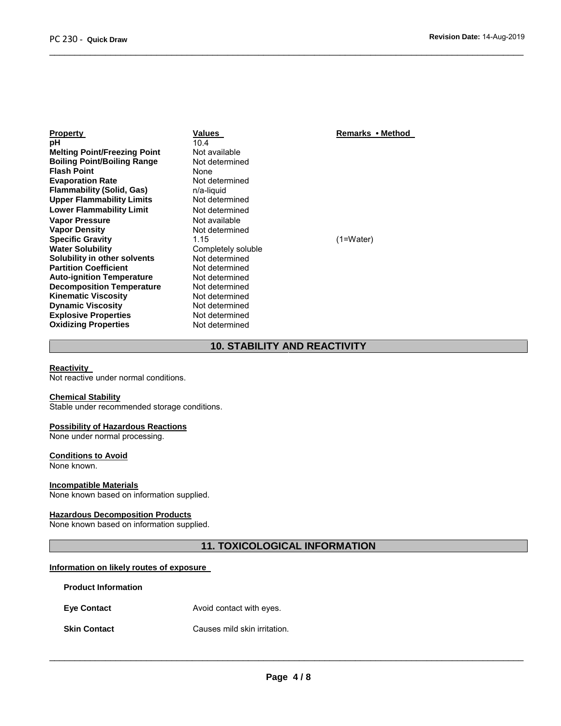| Values         |
|----------------|
| 10.4           |
| Not available  |
| Not determine  |
| None           |
| Not determine  |
| n/a-liquid     |
| Not determine  |
| Not determine  |
| Not available  |
| Not determine  |
| 1.15           |
| Completely sol |
| Not determine  |
| Not determine  |
| Not determine  |
| Not determine  |
| Not determine  |
| Not determine  |
| Not determine  |
| Not determine  |
|                |

**Property Property Remarks • Method**<br>10.4 **Not available Book** determined<br>None **Not determined Flammability (Solid, Gas)** n/a-liquid **Not determined Not determined Not available Not determined Specific Gravity** 1.15 (1=Water) Completely soluble Not determined **Not determined Not determined Not determined Not determined Not determined Not determined Not determined** 

# **10. STABILITY AND REACTIVITY**

 $\overline{\phantom{a}}$  , and the contribution of the contribution of the contribution of the contribution of the contribution of the contribution of the contribution of the contribution of the contribution of the contribution of the

#### **Reactivity**

Not reactive under normal conditions.

#### **Chemical Stability**

Stable under recommended storage conditions.

#### **Possibility of Hazardous Reactions**

None under normal processing.

#### **Conditions to Avoid**

None known.

#### **Incompatible Materials**

None known based on information supplied.

#### **Hazardous Decomposition Products**

None known based on information supplied.

# **11. TOXICOLOGICAL INFORMATION**

### **Information on likely routes of exposure**

| <b>Product Information</b> |                              |  |  |
|----------------------------|------------------------------|--|--|
| <b>Eye Contact</b>         | Avoid contact with eyes.     |  |  |
| <b>Skin Contact</b>        | Causes mild skin irritation. |  |  |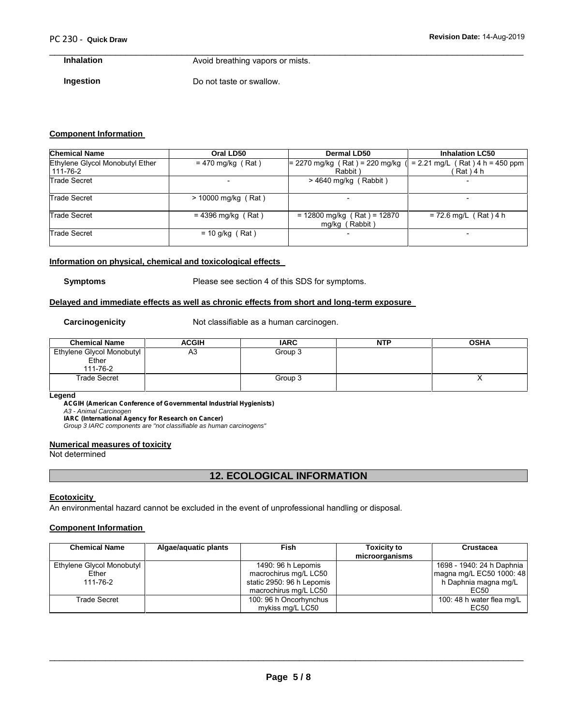# $\overline{\phantom{a}}$  , and the contribution of the contribution of the contribution of the contribution of the contribution of the contribution of the contribution of the contribution of the contribution of the contribution of the

**Inhalation** Avoid breathing vapors or mists.

**Ingestion** Do not taste or swallow.

## **Component Information**

| <b>Chemical Name</b>                        | Oral LD50             | Dermal LD50                                     | <b>Inhalation LC50</b>                         |  |
|---------------------------------------------|-----------------------|-------------------------------------------------|------------------------------------------------|--|
| Ethylene Glycol Monobutyl Ether<br>111-76-2 | $= 470$ mg/kg (Rat)   | $= 2270$ mg/kg (Rat) = 220 mg/kg<br>Rabbit)     | $= 2.21$ mg/L (Rat) 4 h = 450 ppm<br>Rat ) 4 h |  |
| <b>Trade Secret</b>                         |                       | $>$ 4640 mg/kg (Rabbit)                         | $\overline{\phantom{a}}$                       |  |
| <b>Trade Secret</b>                         | $> 10000$ mg/kg (Rat) |                                                 |                                                |  |
| <b>Trade Secret</b>                         | $= 4396$ mg/kg (Rat)  | $= 12800$ mg/kg (Rat) = 12870<br>mg/kg (Rabbit) | $= 72.6$ mg/L (Rat) 4 h                        |  |
| <b>Trade Secret</b>                         | $= 10$ g/kg (Rat)     |                                                 |                                                |  |

#### **Information on physical, chemical and toxicological effects**

**Symptoms** Please see section 4 of this SDS for symptoms.

#### **Delayed and immediate effects as well as chronic effects from short and long-term exposure**

**Carcinogenicity** Not classifiable as a human carcinogen.

| <b>Chemical Name</b>      | ACGIH | <b>IARC</b> | <b>NTP</b> | <b>OSHA</b> |
|---------------------------|-------|-------------|------------|-------------|
| Ethylene Glycol Monobutyl | A3    | Group 3     |            |             |
| Ether                     |       |             |            |             |
| 111-76-2                  |       |             |            |             |
| <b>Trade Secret</b>       |       | Group 3     |            | ,,          |
|                           |       |             |            |             |

#### **Legend**

*ACGIH (American Conference of Governmental Industrial Hygienists) A3 - Animal Carcinogen IARC (International Agency for Research on Cancer)*

*Group 3 IARC components are "not classifiable as human carcinogens"*

#### **Numerical measures of toxicity**

Not determined

# **12. ECOLOGICAL INFORMATION**

#### **Ecotoxicity**

An environmental hazard cannot be excluded in the event of unprofessional handling or disposal.

#### **Component Information**

| <b>Chemical Name</b>      | Algae/aquatic plants | Fish                      | <b>Toxicity to</b><br>microorganisms | Crustacea                 |
|---------------------------|----------------------|---------------------------|--------------------------------------|---------------------------|
| Ethylene Glycol Monobutyl |                      | 1490: 96 h Lepomis        |                                      | 1698 - 1940: 24 h Daphnia |
| Ether                     |                      | macrochirus mg/L LC50     |                                      | magna mg/L EC50 1000: 48  |
| 111-76-2                  |                      | static 2950: 96 h Lepomis |                                      | h Daphnia magna mg/L      |
|                           |                      | macrochirus mg/L LC50     |                                      | EC50                      |
| Trade Secret              |                      | 100: 96 h Oncorhynchus    |                                      | 100: 48 h water flea mg/L |
|                           |                      | mykiss mg/L LC50          |                                      | EC50                      |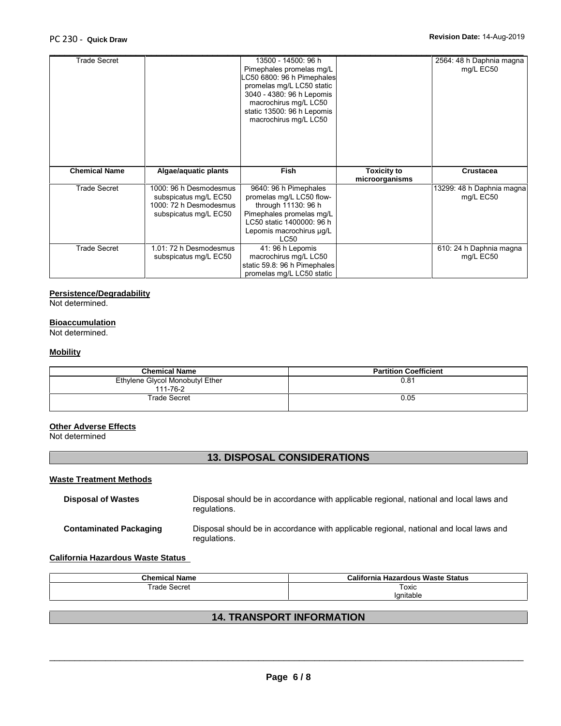| <b>Trade Secret</b>  |                                                                                                    | 13500 - 14500: 96 h<br>Pimephales promelas mg/L<br>C50 6800: 96 h Pimephales<br>promelas mg/L LC50 static<br>3040 - 4380: 96 h Lepomis<br>macrochirus mg/L LC50<br>static 13500: 96 h Lepomis<br>macrochirus mg/L LC50 |                                      | 2564: 48 h Daphnia magna<br>mg/L EC50  |
|----------------------|----------------------------------------------------------------------------------------------------|------------------------------------------------------------------------------------------------------------------------------------------------------------------------------------------------------------------------|--------------------------------------|----------------------------------------|
| <b>Chemical Name</b> | Algae/aquatic plants                                                                               | <b>Fish</b>                                                                                                                                                                                                            | <b>Toxicity to</b><br>microorganisms | <b>Crustacea</b>                       |
| <b>Trade Secret</b>  | 1000: 96 h Desmodesmus<br>subspicatus mg/L EC50<br>1000: 72 h Desmodesmus<br>subspicatus mg/L EC50 | 9640: 96 h Pimephales<br>promelas mg/L LC50 flow-<br>through 11130: 96 h<br>Pimephales promelas mg/L<br>LC50 static 1400000: 96 h<br>Lepomis macrochirus µg/L<br><b>LC50</b>                                           |                                      | 13299: 48 h Daphnia magna<br>mg/L EC50 |
| <b>Trade Secret</b>  | 1.01: 72 h Desmodesmus<br>subspicatus mg/L EC50                                                    | 41: 96 h Lepomis<br>macrochirus mg/L LC50<br>static 59.8: 96 h Pimephales<br>promelas mg/L LC50 static                                                                                                                 |                                      | 610: 24 h Daphnia magna<br>mg/L EC50   |

# **Persistence/Degradability**

Not determined.

# **Bioaccumulation**

Not determined.

#### **Mobility**

| <b>Chemical Name</b>                        | <b>Partition Coefficient</b> |
|---------------------------------------------|------------------------------|
| Ethylene Glycol Monobutyl Ether<br>111-76-2 | 0.81                         |
| <b>Trade Secret</b>                         | 0.05                         |

#### **Other Adverse Effects**

Not determined

# **13. DISPOSAL CONSIDERATIONS**

#### **Waste Treatment Methods**

| <b>Disposal of Wastes</b>     | Disposal should be in accordance with applicable regional, national and local laws and<br>regulations. |
|-------------------------------|--------------------------------------------------------------------------------------------------------|
| <b>Contaminated Packaging</b> | Disposal should be in accordance with applicable regional, national and local laws and<br>regulations. |

#### **California Hazardous Waste Status**

| <b>Chemical Name</b> | California Hazardous Waste Status |
|----------------------|-----------------------------------|
| Trade Secret         | Toxic                             |
|                      | 'gnitable                         |

# **14. TRANSPORT INFORMATION**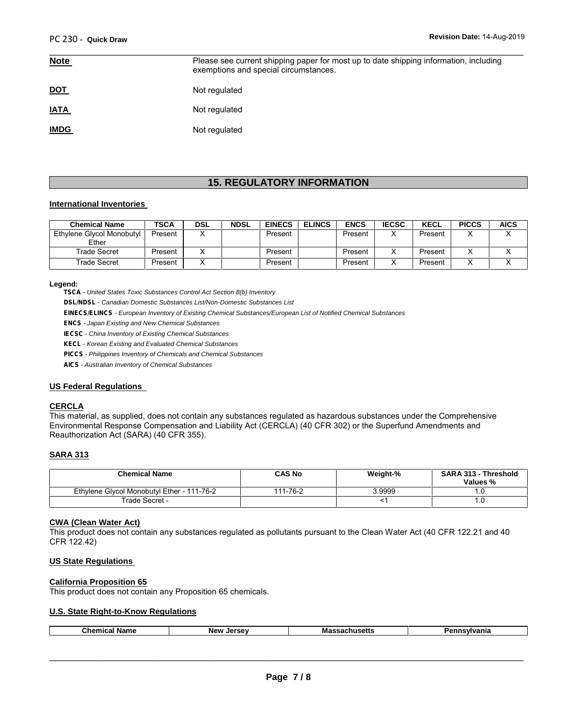| <u>Note</u> | Please see current shipping paper for most up to date shipping information, including<br>exemptions and special circumstances. |
|-------------|--------------------------------------------------------------------------------------------------------------------------------|
| <u>DOT</u>  | Not regulated                                                                                                                  |
| <b>IATA</b> | Not regulated                                                                                                                  |
| <b>IMDG</b> | Not regulated                                                                                                                  |

# **15. REGULATORY INFORMATION**

#### **International Inventories**

| <b>Chemical Name</b>      | <b>TSCA</b> | <b>DSL</b> | <b>NDSL</b> | <b>EINECS</b> | <b>ELINCS</b> | <b>ENCS</b> | <b>IECSC</b> | <b>KECL</b> | <b>PICCS</b> | <b>AICS</b> |
|---------------------------|-------------|------------|-------------|---------------|---------------|-------------|--------------|-------------|--------------|-------------|
| Ethylene Glycol Monobutyl | Present     |            |             | Present       |               | Present     |              | Present     |              |             |
| Ether                     |             |            |             |               |               |             |              |             |              |             |
| Trade Secret              | Present     |            |             | Present       |               | Present     |              | Present     |              |             |
| Trade Secret              | Present     |            |             | Present       |               | Present     |              | Present     |              |             |

#### **Legend:**

*TSCA - United States Toxic Substances Control Act Section 8(b) Inventory*

*DSL/NDSL - Canadian Domestic Substances List/Non-Domestic Substances List*

*EINECS/ELINCS - European Inventory of Existing Chemical Substances/European List of Notified Chemical Substances*

*ENCS - Japan Existing and New Chemical Substances*

*IECSC - China Inventory of Existing Chemical Substances*

*KECL - Korean Existing and Evaluated Chemical Substances*

*PICCS - Philippines Inventory of Chemicals and Chemical Substances*

*AICS - Australian Inventory of Chemical Substances*

#### **US Federal Regulations**

#### **CERCLA**

This material, as supplied, does not contain any substances regulated as hazardous substances under the Comprehensive Environmental Response Compensation and Liability Act (CERCLA) (40 CFR 302) or the Superfund Amendments and Reauthorization Act (SARA) (40 CFR 355).

#### **SARA 313**

| <b>Chemical Name</b>                       | CAS No   | Weight-% | <b>SARA 313 - Threshold</b><br>Values % |
|--------------------------------------------|----------|----------|-----------------------------------------|
| Ethylene Givcol Monobutyl Ether - 111-76-2 | 111-76-2 | .9999    |                                         |
| Trade Secret -                             |          |          | ن. ا                                    |

## **CWA (Clean Water Act)**

This product does not contain any substances regulated as pollutants pursuant to the Clean Water Act (40 CFR 122.21 and 40 CFR 122.42)

#### **US State Regulations**

#### **California Proposition 65**

This product does not contain any Proposition 65 chemicals.

#### **U.S. State Right-to-Know Regulations**

| C.hr<br>---<br>--<br>. | <b>New</b> | המח<br>. . | н |
|------------------------|------------|------------|---|
|                        |            |            |   |